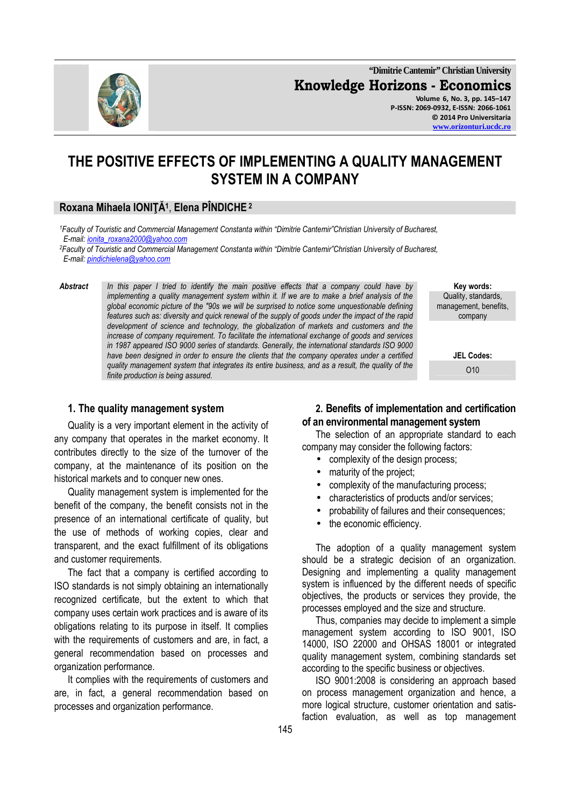

**"Dimitrie Cantemir" Christian University Knowledge Horizons - Economics Volume 6, No. 3, pp. 145–147 P-ISSN: 2069-0932, E-ISSN: 2066-1061 © 2014 Pro Universitaria** 

**www.orizonturi.ucdc.ro**

# **THE POSITIVE EFFECTS OF IMPLEMENTING A QUALITY MANAGEMENT SYSTEM IN A COMPANY**

## **Roxana Mihaela IONIŢĂ<sup>1</sup>** , **Elena PÎNDICHE<sup>2</sup>**

*<sup>1</sup>Faculty of Touristic and Commercial Management Constanta within "Dimitrie Cantemir"Christian University of Bucharest, E-mail: ionita\_roxana2000@yahoo.com*

*<sup>2</sup>Faculty of Touristic and Commercial Management Constanta within "Dimitrie Cantemir"Christian University of Bucharest, E-mail: pindichielena@yahoo.com*

*Abstract In this paper I tried to identify the main positive effects that a company could have by implementing a quality management system within it. If we are to make a brief analysis of the global economic picture of the "90s we will be surprised to notice some unquestionable defining features such as: diversity and quick renewal of the supply of goods under the impact of the rapid development of science and technology, the globalization of markets and customers and the increase of company requirement. To facilitate the international exchange of goods and services in 1987 appeared ISO 9000 series of standards. Generally, the international standards ISO 9000 have been designed in order to ensure the clients that the company operates under a certified quality management system that integrates its entire business, and as a result, the quality of the finite production is being assured*.

**Key words:**  Quality, standards, management, benefits, company

**JEL Codes:**

O10

## **1. The quality management system**

Quality is a very important element in the activity of any company that operates in the market economy. It contributes directly to the size of the turnover of the company, at the maintenance of its position on the historical markets and to conquer new ones.

Quality management system is implemented for the benefit of the company, the benefit consists not in the presence of an international certificate of quality, but the use of methods of working copies, clear and transparent, and the exact fulfillment of its obligations and customer requirements.

The fact that a company is certified according to ISO standards is not simply obtaining an internationally recognized certificate, but the extent to which that company uses certain work practices and is aware of its obligations relating to its purpose in itself. It complies with the requirements of customers and are, in fact, a general recommendation based on processes and organization performance.

It complies with the requirements of customers and are, in fact, a general recommendation based on processes and organization performance.

#### **2. Benefits of implementation and certification of an environmental management system**

The selection of an appropriate standard to each company may consider the following factors:

- complexity of the design process:
- maturity of the project;
- complexity of the manufacturing process;
- characteristics of products and/or services;
- probability of failures and their consequences;
- the economic efficiency.

The adoption of a quality management system should be a strategic decision of an organization. Designing and implementing a quality management system is influenced by the different needs of specific objectives, the products or services they provide, the processes employed and the size and structure.

Thus, companies may decide to implement a simple management system according to ISO 9001, ISO 14000, ISO 22000 and OHSAS 18001 or integrated quality management system, combining standards set according to the specific business or objectives.

ISO 9001:2008 is considering an approach based on process management organization and hence, a more logical structure, customer orientation and satisfaction evaluation, as well as top management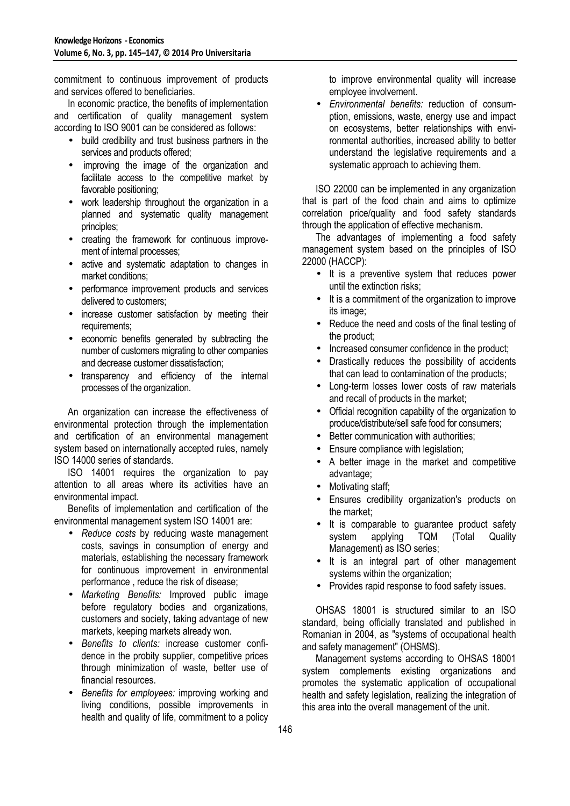commitment to continuous improvement of products and services offered to beneficiaries.

In economic practice, the benefits of implementation and certification of quality management system according to ISO 9001 can be considered as follows:

- build credibility and trust business partners in the services and products offered;
- improving the image of the organization and facilitate access to the competitive market by favorable positioning;
- work leadership throughout the organization in a planned and systematic quality management principles;
- creating the framework for continuous improvement of internal processes;
- active and systematic adaptation to changes in market conditions;
- performance improvement products and services delivered to customers;
- increase customer satisfaction by meeting their requirements;
- economic benefits generated by subtracting the number of customers migrating to other companies and decrease customer dissatisfaction;
- transparency and efficiency of the internal processes of the organization.

An organization can increase the effectiveness of environmental protection through the implementation and certification of an environmental management system based on internationally accepted rules, namely ISO 14000 series of standards.

ISO 14001 requires the organization to pay attention to all areas where its activities have an environmental impact.

Benefits of implementation and certification of the environmental management system ISO 14001 are:

- *Reduce costs* by reducing waste management costs, savings in consumption of energy and materials, establishing the necessary framework for continuous improvement in environmental performance , reduce the risk of disease;
- *Marketing Benefits:* Improved public image before regulatory bodies and organizations, customers and society, taking advantage of new markets, keeping markets already won.
- *Benefits to clients:* increase customer confidence in the probity supplier, competitive prices through minimization of waste, better use of financial resources.
- *Benefits for employees:* improving working and living conditions, possible improvements in health and quality of life, commitment to a policy

to improve environmental quality will increase employee involvement.

• *Environmental benefits:* reduction of consumption, emissions, waste, energy use and impact on ecosystems, better relationships with environmental authorities, increased ability to better understand the legislative requirements and a systematic approach to achieving them.

ISO 22000 can be implemented in any organization that is part of the food chain and aims to optimize correlation price/quality and food safety standards through the application of effective mechanism.

The advantages of implementing a food safety management system based on the principles of ISO 22000 (HACCP):

- It is a preventive system that reduces power until the extinction risks;
- It is a commitment of the organization to improve its image;
- Reduce the need and costs of the final testing of the product;
- Increased consumer confidence in the product;
- Drastically reduces the possibility of accidents that can lead to contamination of the products;
- Long-term losses lower costs of raw materials and recall of products in the market;
- Official recognition capability of the organization to produce/distribute/sell safe food for consumers;
- Better communication with authorities:
- Ensure compliance with legislation;
- A better image in the market and competitive advantage;
- Motivating staff;
- Ensures credibility organization's products on the market;
- It is comparable to guarantee product safety system applying TQM (Total Quality Management) as ISO series;
- It is an integral part of other management systems within the organization;
- Provides rapid response to food safety issues.

OHSAS 18001 is structured similar to an ISO standard, being officially translated and published in Romanian in 2004, as "systems of occupational health and safety management" (OHSMS).

Management systems according to OHSAS 18001 system complements existing organizations and promotes the systematic application of occupational health and safety legislation, realizing the integration of this area into the overall management of the unit.